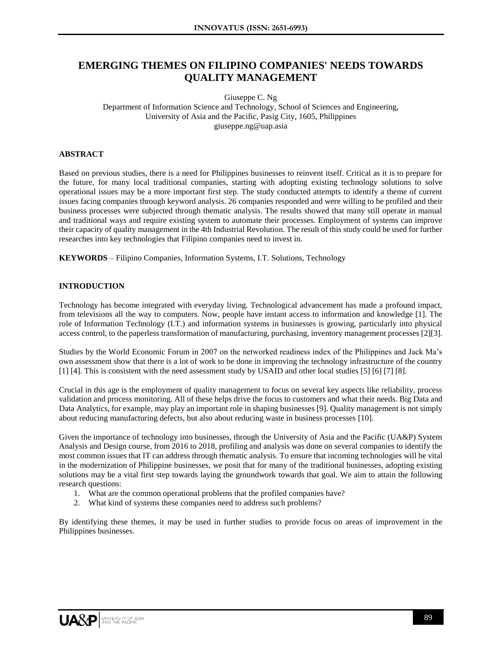# **EMERGING THEMES ON FILIPINO COMPANIES' NEEDS TOWARDS QUALITY MANAGEMENT**

Giuseppe C. Ng

Department of Information Science and Technology, School of Sciences and Engineering, University of Asia and the Pacific, Pasig City, 1605, Philippines giuseppe.ng@uap.asia

## **ABSTRACT**

Based on previous studies, there is a need for Philippines businesses to reinvent itself. Critical as it is to prepare for the future, for many local traditional companies, starting with adopting existing technology solutions to solve operational issues may be a more important first step. The study conducted attempts to identify a theme of current issues facing companies through keyword analysis. 26 companies responded and were willing to be profiled and their business processes were subjected through thematic analysis. The results showed that many still operate in manual and traditional ways and require existing system to automate their processes. Employment of systems can improve their capacity of quality management in the 4th Industrial Revolution. The result of this study could be used for further researches into key technologies that Filipino companies need to invest in.

**KEYWORDS** – Filipino Companies, Information Systems, I.T. Solutions, Technology

## **INTRODUCTION**

Technology has become integrated with everyday living. Technological advancement has made a profound impact, from televisions all the way to computers. Now, people have instant access to information and knowledge [1]. The role of Information Technology (I.T.) and information systems in businesses is growing, particularly into physical access control, to the paperless transformation of manufacturing, purchasing, inventory management processes [2][3].

Studies by the World Economic Forum in 2007 on the networked readiness index of the Philippines and Jack Ma's own assessment show that there is a lot of work to be done in improving the technology infrastructure of the country [1] [4]. This is consistent with the need assessment study by USAID and other local studies [5] [6] [7] [8].

Crucial in this age is the employment of quality management to focus on several key aspects like reliability, process validation and process monitoring. All of these helps drive the focus to customers and what their needs. Big Data and Data Analytics, for example, may play an important role in shaping businesses [9]. Quality management is not simply about reducing manufacturing defects, but also about reducing waste in business processes [10].

Given the importance of technology into businesses, through the University of Asia and the Pacific (UA&P) System Analysis and Design course, from 2016 to 2018, profiling and analysis was done on several companies to identify the most common issues that IT can address through thematic analysis. To ensure that incoming technologies will be vital in the modernization of Philippine businesses, we posit that for many of the traditional businesses, adopting existing solutions may be a vital first step towards laying the groundwork towards that goal. We aim to attain the following research questions:

- 1. What are the common operational problems that the profiled companies have?
- 2. What kind of systems these companies need to address such problems?

By identifying these themes, it may be used in further studies to provide focus on areas of improvement in the Philippines businesses.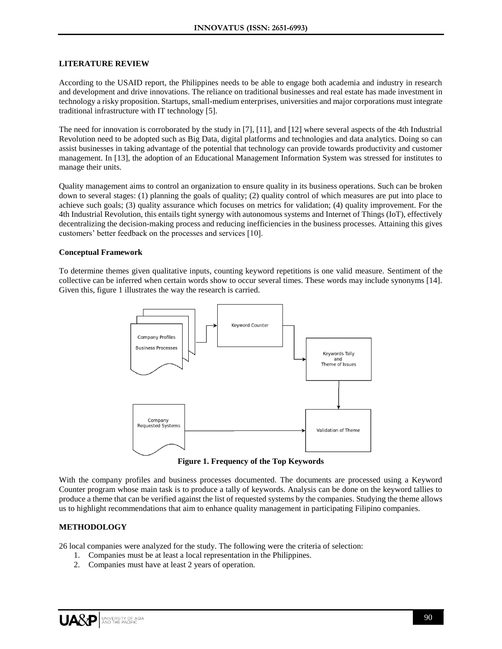#### **LITERATURE REVIEW**

According to the USAID report, the Philippines needs to be able to engage both academia and industry in research and development and drive innovations. The reliance on traditional businesses and real estate has made investment in technology a risky proposition. Startups, small-medium enterprises, universities and major corporations must integrate traditional infrastructure with IT technology [5].

The need for innovation is corroborated by the study in [7], [11], and [12] where several aspects of the 4th Industrial Revolution need to be adopted such as Big Data, digital platforms and technologies and data analytics. Doing so can assist businesses in taking advantage of the potential that technology can provide towards productivity and customer management. In [13], the adoption of an Educational Management Information System was stressed for institutes to manage their units.

Quality management aims to control an organization to ensure quality in its business operations. Such can be broken down to several stages: (1) planning the goals of quality; (2) quality control of which measures are put into place to achieve such goals; (3) quality assurance which focuses on metrics for validation; (4) quality improvement. For the 4th Industrial Revolution, this entails tight synergy with autonomous systems and Internet of Things (IoT), effectively decentralizing the decision-making process and reducing inefficiencies in the business processes. Attaining this gives customers' better feedback on the processes and services [10].

#### **Conceptual Framework**

To determine themes given qualitative inputs, counting keyword repetitions is one valid measure. Sentiment of the collective can be inferred when certain words show to occur several times. These words may include synonyms [14]. Given this, figure 1 illustrates the way the research is carried.



**Figure 1. Frequency of the Top Keywords**

With the company profiles and business processes documented. The documents are processed using a Keyword Counter program whose main task is to produce a tally of keywords. Analysis can be done on the keyword tallies to produce a theme that can be verified against the list of requested systems by the companies. Studying the theme allows us to highlight recommendations that aim to enhance quality management in participating Filipino companies.

## **METHODOLOGY**

26 local companies were analyzed for the study. The following were the criteria of selection:

- 1. Companies must be at least a local representation in the Philippines.
- 2. Companies must have at least 2 years of operation.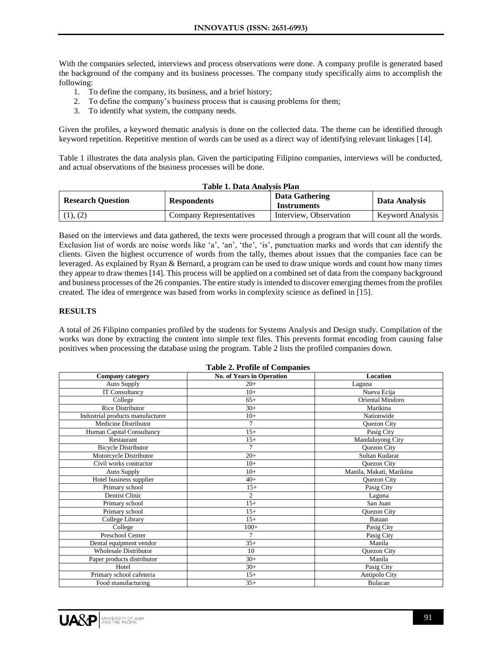With the companies selected, interviews and process observations were done. A company profile is generated based the background of the company and its business processes. The company study specifically aims to accomplish the following:

- 1. To define the company, its business, and a brief history;
- 2. To define the company's business process that is causing problems for them;
- 3. To identify what system, the company needs.

Given the profiles, a keyword thematic analysis is done on the collected data. The theme can be identified through keyword repetition. Repetitive mention of words can be used as a direct way of identifying relevant linkages [14].

Table 1 illustrates the data analysis plan. Given the participating Filipino companies, interviews will be conducted, and actual observations of the business processes will be done.

| Table 1. Data Analysis Plan |                                |                        |                         |  |  |
|-----------------------------|--------------------------------|------------------------|-------------------------|--|--|
| <b>Research Question</b>    | <b>Respondents</b>             | Data Gathering         | Data Analysis           |  |  |
|                             |                                | <b>Instruments</b>     |                         |  |  |
| (1), (2)                    | <b>Company Representatives</b> | Interview. Observation | <b>Keyword Analysis</b> |  |  |

Based on the interviews and data gathered, the texts were processed through a program that will count all the words. Exclusion list of words are noise words like 'a', 'an', 'the', 'is', punctuation marks and words that can identify the clients. Given the highest occurrence of words from the tally, themes about issues that the companies face can be leveraged. As explained by Ryan & Bernard, a program can be used to draw unique words and count how many times they appear to draw themes [14]. This process will be applied on a combined set of data from the company background and business processes of the 26 companies. The entire study is intended to discover emerging themes from the profiles created. The idea of emergence was based from works in complexity science as defined in [15].

## **RESULTS**

A total of 26 Filipino companies profiled by the students for Systems Analysis and Design study. Compilation of the works was done by extracting the content into simple text files. This prevents format encoding from causing false positives when processing the database using the program. Table 2 lists the profiled companies down.

| <b>Company category</b>          | <b>No. of Years in Operation</b> | Location                 |
|----------------------------------|----------------------------------|--------------------------|
| Auto Supply                      | $20+$                            | Laguna                   |
| <b>IT Consultancy</b>            | $10+$                            | Nueva Ecija              |
| College                          | $65+$                            | <b>Oriental Mindoro</b>  |
| <b>Rice Distributor</b>          | $30+$                            | Marikina                 |
| Industrial products manufacturer | $10+$                            | Nationwide               |
| Medicine Distributor             | 7                                | Quezon City              |
| Human Capital Consultancy        | $15+$                            | Pasig City               |
| Restaurant                       | $15+$                            | Mandaluyong City         |
| <b>Bicycle Distributor</b>       | 7                                | Quezon City              |
| Motorcycle Distributor           | $20+$                            | Sultan Kudarat           |
| Civil works contractor           | $10+$                            | Quezon City              |
| Auto Supply                      | $10+$                            | Manila, Makati, Marikina |
| Hotel business supplier          | $40+$                            | Quezon City              |
| Primary school                   | $15+$                            | Pasig City               |
| Dentist Clinic                   | $\overline{2}$                   | Laguna                   |
| Primary school                   | $15+$                            | San Juan                 |
| Primary school                   | $15+$                            | Quezon City              |
| College Library                  | $15+$                            | Bataan                   |
| College                          | $100+$                           | Pasig City               |
| Preschool Center                 | 7                                | Pasig City               |
| Dental equipment vendor          | $35+$                            | Manila                   |
| <b>Wholesale Distributor</b>     | 10                               | Quezon City              |
| Paper products distributor       | $30+$                            | Manila                   |
| Hotel                            | $30+$                            | Pasig City               |
| Primary school cafeteria         | $15+$                            | Antipolo City            |
| Food manufacturing               | $35+$                            | Bulacan                  |

#### **Table 2. Profile of Companies**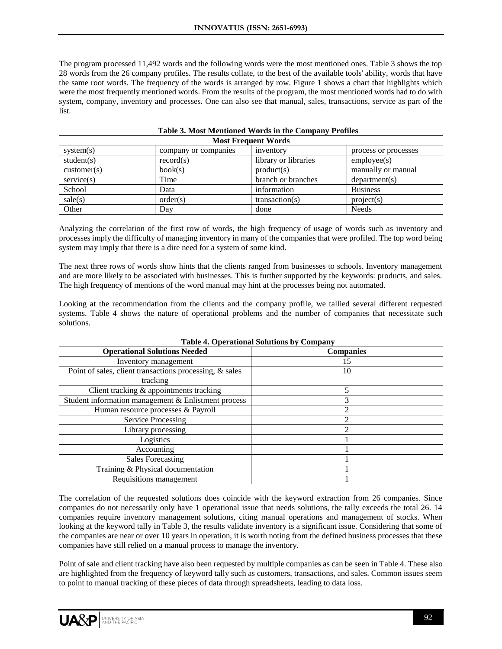The program processed 11,492 words and the following words were the most mentioned ones. Table 3 shows the top 28 words from the 26 company profiles. The results collate, to the best of the available tools' ability, words that have the same root words. The frequency of the words is arranged by row. Figure 1 shows a chart that highlights which were the most frequently mentioned words. From the results of the program, the most mentioned words had to do with system, company, inventory and processes. One can also see that manual, sales, transactions, service as part of the list.

| <b>Most Frequent Words</b> |                      |                      |                      |  |
|----------------------------|----------------------|----------------------|----------------------|--|
| system(s)                  | company or companies | inventory            | process or processes |  |
| student(s)                 | record(s)            | library or libraries | $\text{employee}(s)$ |  |
| $\text{customer}(s)$       | book(s)              | product(s)           | manually or manual   |  |
| service(s)                 | Time                 | branch or branches   | department(s)        |  |
| School                     | Data                 | information          | <b>Business</b>      |  |
| $\text{ sale}(s)$          | order(s)             | transaction(s)       | project(s)           |  |
| Other                      | Dav                  | done                 | <b>Needs</b>         |  |

## **Table 3. Most Mentioned Words in the Company Profiles**

Analyzing the correlation of the first row of words, the high frequency of usage of words such as inventory and processes imply the difficulty of managing inventory in many of the companies that were profiled. The top word being system may imply that there is a dire need for a system of some kind.

The next three rows of words show hints that the clients ranged from businesses to schools. Inventory management and are more likely to be associated with businesses. This is further supported by the keywords: products, and sales. The high frequency of mentions of the word manual may hint at the processes being not automated.

Looking at the recommendation from the clients and the company profile, we tallied several different requested systems. Table 4 shows the nature of operational problems and the number of companies that necessitate such solutions.

| тарис - в Орегандиан роцинопр ру Сошрану                |                  |  |  |  |
|---------------------------------------------------------|------------------|--|--|--|
| <b>Operational Solutions Needed</b>                     | <b>Companies</b> |  |  |  |
| Inventory management                                    | 15               |  |  |  |
| Point of sales, client transactions processing, & sales | 10               |  |  |  |
| tracking                                                |                  |  |  |  |
| Client tracking & appointments tracking                 | 5                |  |  |  |
| Student information management & Enlistment process     | 3                |  |  |  |
| Human resource processes & Payroll                      |                  |  |  |  |
| <b>Service Processing</b>                               | 2                |  |  |  |
| Library processing                                      | າ                |  |  |  |
| Logistics                                               |                  |  |  |  |
| Accounting                                              |                  |  |  |  |
| <b>Sales Forecasting</b>                                |                  |  |  |  |
| Training & Physical documentation                       |                  |  |  |  |
| Requisitions management                                 |                  |  |  |  |

**Table 4. Operational Solutions by Company**

The correlation of the requested solutions does coincide with the keyword extraction from 26 companies. Since companies do not necessarily only have 1 operational issue that needs solutions, the tally exceeds the total 26. 14 companies require inventory management solutions, citing manual operations and management of stocks. When looking at the keyword tally in Table 3, the results validate inventory is a significant issue. Considering that some of the companies are near or over 10 years in operation, it is worth noting from the defined business processes that these companies have still relied on a manual process to manage the inventory.

Point of sale and client tracking have also been requested by multiple companies as can be seen in Table 4. These also are highlighted from the frequency of keyword tally such as customers, transactions, and sales. Common issues seem to point to manual tracking of these pieces of data through spreadsheets, leading to data loss.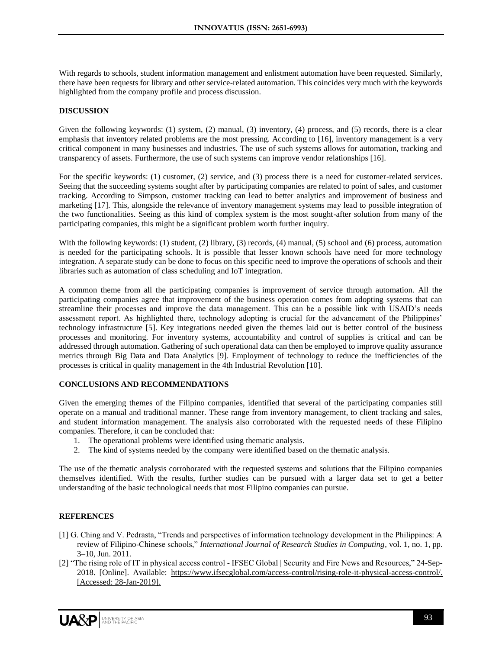With regards to schools, student information management and enlistment automation have been requested. Similarly, there have been requests for library and other service-related automation. This coincides very much with the keywords highlighted from the company profile and process discussion.

#### **DISCUSSION**

Given the following keywords: (1) system, (2) manual, (3) inventory, (4) process, and (5) records, there is a clear emphasis that inventory related problems are the most pressing. According to [16], inventory management is a very critical component in many businesses and industries. The use of such systems allows for automation, tracking and transparency of assets. Furthermore, the use of such systems can improve vendor relationships [16].

For the specific keywords: (1) customer, (2) service, and (3) process there is a need for customer-related services. Seeing that the succeeding systems sought after by participating companies are related to point of sales, and customer tracking. According to Simpson, customer tracking can lead to better analytics and improvement of business and marketing [17]. This, alongside the relevance of inventory management systems may lead to possible integration of the two functionalities. Seeing as this kind of complex system is the most sought-after solution from many of the participating companies, this might be a significant problem worth further inquiry.

With the following keywords: (1) student, (2) library, (3) records, (4) manual, (5) school and (6) process, automation is needed for the participating schools. It is possible that lesser known schools have need for more technology integration. A separate study can be done to focus on this specific need to improve the operations of schools and their libraries such as automation of class scheduling and IoT integration.

A common theme from all the participating companies is improvement of service through automation. All the participating companies agree that improvement of the business operation comes from adopting systems that can streamline their processes and improve the data management. This can be a possible link with USAID's needs assessment report. As highlighted there, technology adopting is crucial for the advancement of the Philippines' technology infrastructure [5]. Key integrations needed given the themes laid out is better control of the business processes and monitoring. For inventory systems, accountability and control of supplies is critical and can be addressed through automation. Gathering of such operational data can then be employed to improve quality assurance metrics through Big Data and Data Analytics [9]. Employment of technology to reduce the inefficiencies of the processes is critical in quality management in the 4th Industrial Revolution [10].

#### **CONCLUSIONS AND RECOMMENDATIONS**

Given the emerging themes of the Filipino companies, identified that several of the participating companies still operate on a manual and traditional manner. These range from inventory management, to client tracking and sales, and student information management. The analysis also corroborated with the requested needs of these Filipino companies. Therefore, it can be concluded that:

- 1. The operational problems were identified using thematic analysis.
- 2. The kind of systems needed by the company were identified based on the thematic analysis.

The use of the thematic analysis corroborated with the requested systems and solutions that the Filipino companies themselves identified. With the results, further studies can be pursued with a larger data set to get a better understanding of the basic technological needs that most Filipino companies can pursue.

## **REFERENCES**

- [1] G. Ching and V. Pedrasta, "Trends and perspectives of information technology development in the Philippines: A review of Filipino-Chinese schools," *International Journal of Research Studies in Computing*, vol. 1, no. 1, pp. 3–10, Jun. 2011.
- [2] "The rising role of IT in physical access control IFSEC Global | Security and Fire News and Resources," 24-Sep-2018. [Online]. Available: [https://www.ifsecglobal.com/access-control/rising-role-it-physical-access-control/.](https://www.ifsecglobal.com/access-control/rising-role-it-physical-access-control/)  [\[Accessed: 28-Jan-2019\].](http://paperpile.com/b/RCihGB/jKTz)